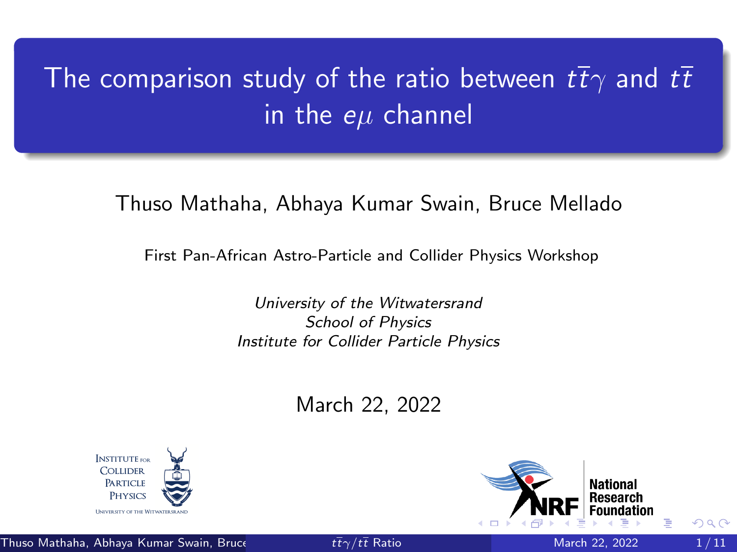# <span id="page-0-0"></span>The comparison study of the ratio between  $t\bar{t}\gamma$  and  $t\bar{t}$ in the  $e\mu$  channel

Thuso Mathaha, Abhaya Kumar Swain, Bruce Mellado

First Pan-African Astro-Particle and Collider Physics Workshop

University of the Witwatersrand School of Physics Institute for Collider Particle Physics

March 22, 2022





Thuso Mathaha, Abhaya Kumar Swain, Bruce  $t\bar{t}\gamma/t\bar{t}$  [Ratio](#page-10-0) March 22, 2022 1/11

 $\Omega$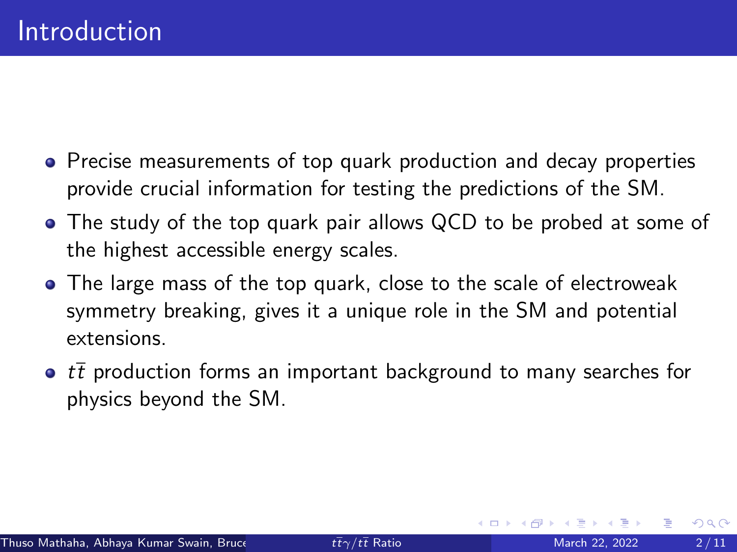- Precise measurements of top quark production and decay properties provide crucial information for testing the predictions of the SM.
- The study of the top quark pair allows QCD to be probed at some of the highest accessible energy scales.
- The large mass of the top quark, close to the scale of electroweak symmetry breaking, gives it a unique role in the SM and potential extensions.
- $\bullet$  tt production forms an important background to many searches for physics beyond the SM.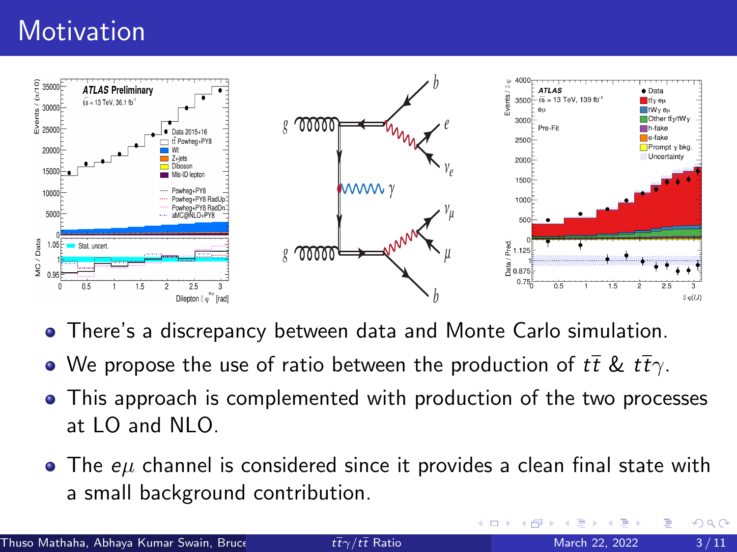## **Motivation**



- There's a discrepancy between data and Monte Carlo simulation.
- We propose the use of ratio between the production of  $t\bar{t}$  &  $t\bar{t}\gamma$ .
- This approach is complemented with production of the two processes at  $LO$  and  $NLO$ .
- $\bullet$  The  $e\mu$  channel is considered since it provides a clean final state with a small background contribution.

4 **D F**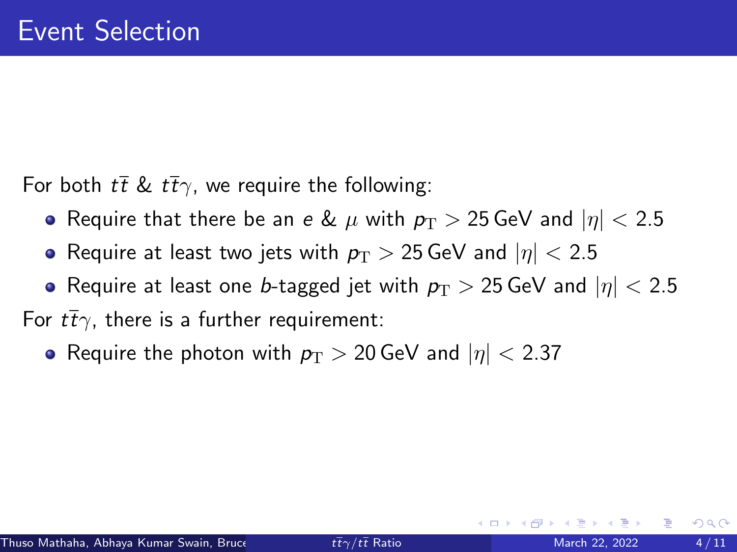For both  $t\bar{t} \& t\bar{t}\gamma$ , we require the following:

- Require that there be an e &  $\mu$  with  $p_T > 25$  GeV and  $|\eta| < 2.5$
- Require at least two jets with  $p_T > 25$  GeV and  $|\eta| < 2.5$
- Require at least one *b*-tagged jet with  $p_{\rm T} > 25$  GeV and  $|\eta| < 2.5$

For  $t\bar{t}\gamma$ , there is a further requirement:

• Require the photon with  $p_T > 20$  GeV and  $|\eta| < 2.37$ 

 $\Omega$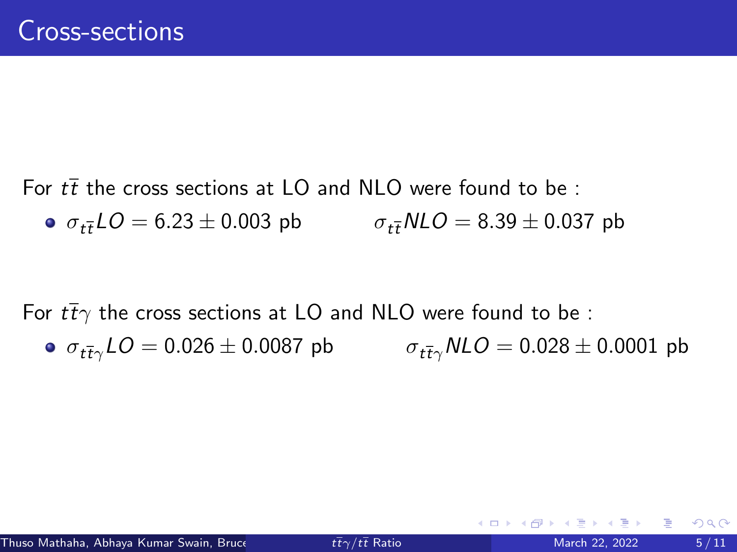For  $t\bar{t}$  the cross sections at LO and NLO were found to be:

 $\sigma_{t\bar{t}}LO = 6.23 \pm 0.003$  pb  $\sigma_{t\bar{t}}NLO = 8.39 \pm 0.037$  pb

For  $t\bar{t}\gamma$  the cross sections at LO and NLO were found to be :  $\sigma_{t\bar{t}\gamma}LO = 0.026 \pm 0.0087$  pb  $\sigma_{t\bar{t}\gamma}NLO = 0.028 \pm 0.0001$  pb

 $QQ$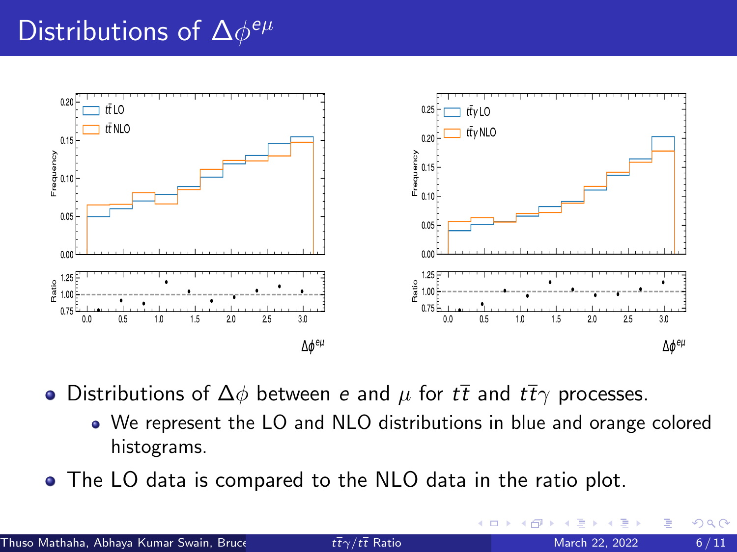# Distributions of  $\Delta\phi^{e\mu}$



• Distributions of  $\Delta\phi$  between *e* and  $\mu$  for  $t\bar{t}$  and  $t\bar{t}\gamma$  processes.

- We represent the LO and NLO distributions in blue and orange colored histograms.
- The LO data is compared to the NLO data in the ratio plot.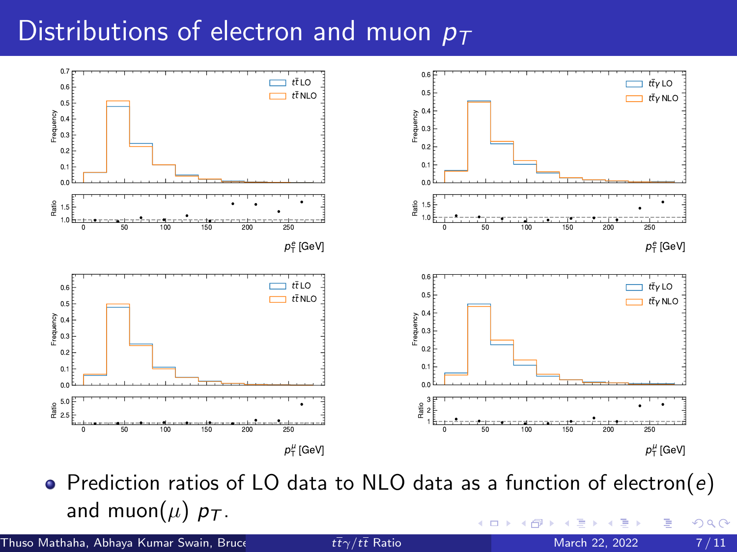#### Distributions of electron and muon  $p_T$



• Prediction ratios of LO data to NLO data as a function of electron( $e$ ) and muon( $\mu$ )  $p_T$ . ←□  $290$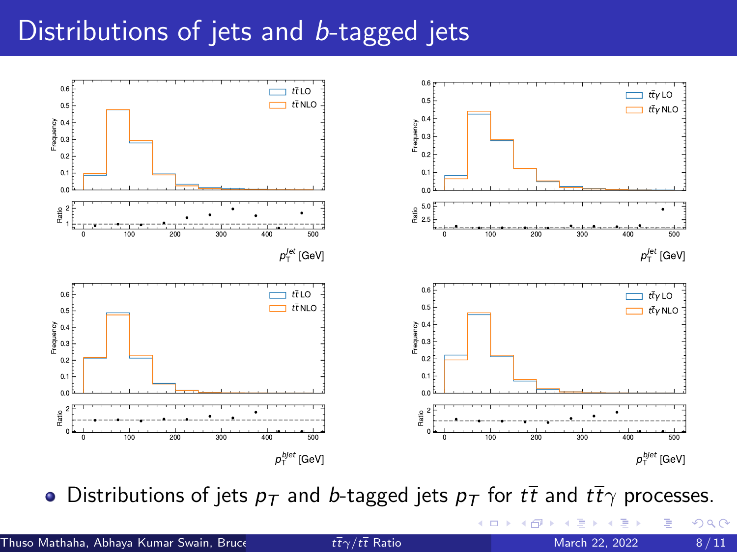### Distributions of jets and b-tagged jets



• Distributions of jets  $p_T$  and b-tagged jets  $p_T$  for  $t\bar{t}$  and  $t\bar{t}\gamma$  processes.

€⊡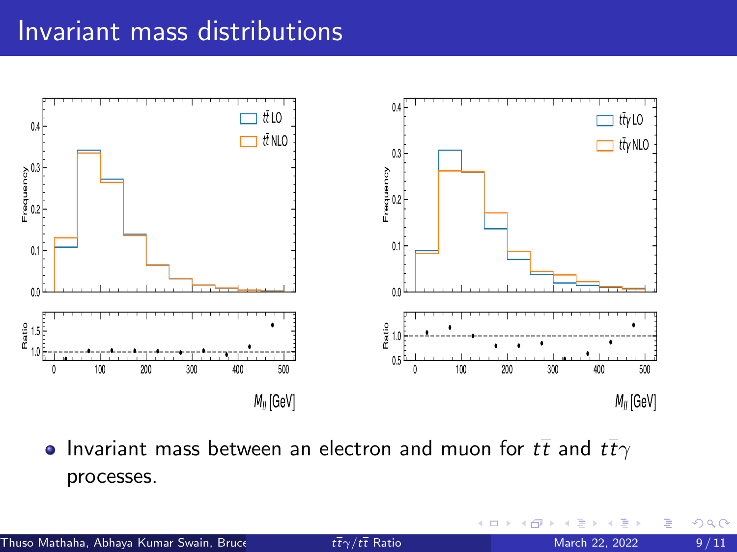#### Invariant mass distributions



• Invariant mass between an electron and muon for  $t\bar{t}$  and  $t\bar{t}\gamma$ processes.

€⊡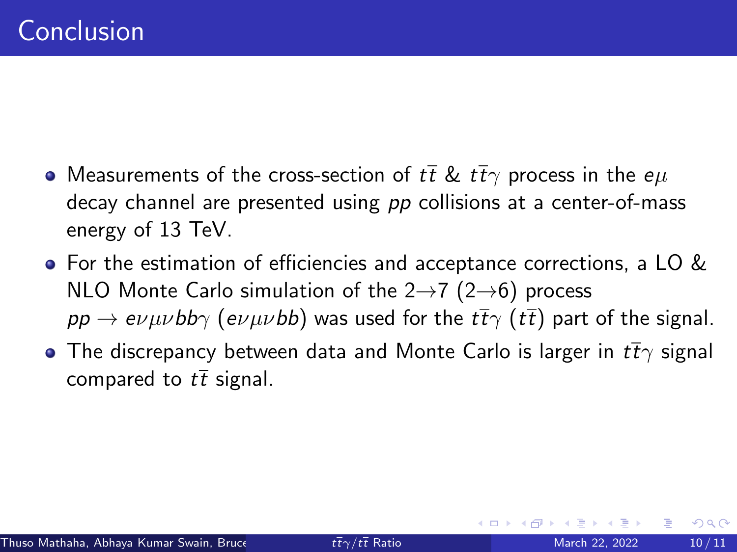- Measurements of the cross-section of  $t\bar{t}$  &  $t\bar{t}\gamma$  process in the  $e\mu$ decay channel are presented using pp collisions at a center-of-mass energy of 13 TeV.
- For the estimation of efficiencies and acceptance corrections, a LO & NLO Monte Carlo simulation of the  $2\rightarrow$ 7 ( $2\rightarrow$ 6) process  $pp \to e\nu\mu\nu b$ b $\gamma$  (e $\nu\mu\nu b$ b) was used for the  $t\bar{t}\gamma$  ( $t\bar{t}$ ) part of the signal.
- **•** The discrepancy between data and Monte Carlo is larger in  $t\bar{t}\gamma$  signal compared to  $t\bar{t}$  signal.

 $\Omega$